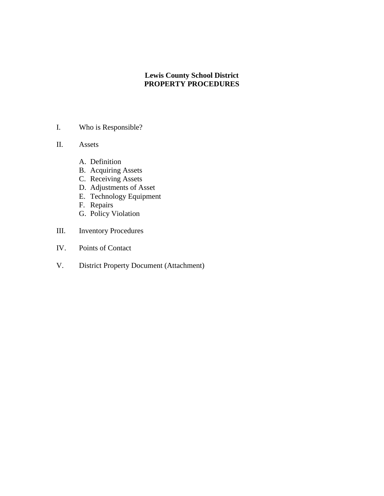## **Lewis County School District PROPERTY PROCEDURES**

- I. Who is Responsible?
- II. Assets
	- A. Definition
	- B. Acquiring Assets
	- C. Receiving Assets
	- D. Adjustments of Asset
	- E. Technology Equipment
	- F. Repairs
	- G. Policy Violation
- III. Inventory Procedures
- IV. Points of Contact
- V. District Property Document (Attachment)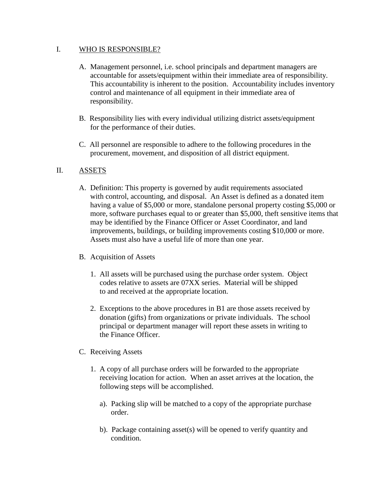### I. WHO IS RESPONSIBLE?

- A. Management personnel, i.e. school principals and department managers are accountable for assets/equipment within their immediate area of responsibility. This accountability is inherent to the position. Accountability includes inventory control and maintenance of all equipment in their immediate area of responsibility.
- B. Responsibility lies with every individual utilizing district assets/equipment for the performance of their duties.
- C. All personnel are responsible to adhere to the following procedures in the procurement, movement, and disposition of all district equipment.

### II. ASSETS

- A. Definition: This property is governed by audit requirements associated with control, accounting, and disposal. An Asset is defined as a donated item having a value of \$5,000 or more, standalone personal property costing \$5,000 or more, software purchases equal to or greater than \$5,000, theft sensitive items that may be identified by the Finance Officer or Asset Coordinator, and land improvements, buildings, or building improvements costing \$10,000 or more. Assets must also have a useful life of more than one year.
- B. Acquisition of Assets
	- 1. All assets will be purchased using the purchase order system. Object codes relative to assets are 07XX series. Material will be shipped to and received at the appropriate location.
	- 2. Exceptions to the above procedures in B1 are those assets received by donation (gifts) from organizations or private individuals. The school principal or department manager will report these assets in writing to the Finance Officer.
- C. Receiving Assets
	- 1. A copy of all purchase orders will be forwarded to the appropriate receiving location for action. When an asset arrives at the location, the following steps will be accomplished.
		- a). Packing slip will be matched to a copy of the appropriate purchase order.
		- b). Package containing asset(s) will be opened to verify quantity and condition.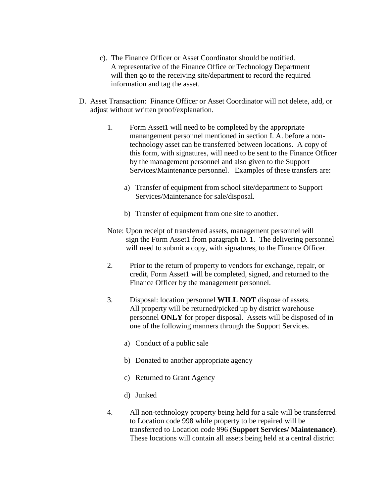- c). The Finance Officer or Asset Coordinator should be notified. A representative of the Finance Office or Technology Department will then go to the receiving site/department to record the required information and tag the asset.
- D. Asset Transaction: Finance Officer or Asset Coordinator will not delete, add, or adjust without written proof/explanation.
	- 1. Form Asset1 will need to be completed by the appropriate manangement personnel mentioned in section I. A. before a nontechnology asset can be transferred between locations. A copy of this form, with signatures, will need to be sent to the Finance Officer by the management personnel and also given to the Support Services/Maintenance personnel. Examples of these transfers are:
		- a) Transfer of equipment from school site/department to Support Services/Maintenance for sale/disposal.
		- b) Transfer of equipment from one site to another.
	- Note: Upon receipt of transferred assets, management personnel will sign the Form Asset1 from paragraph D. 1. The delivering personnel will need to submit a copy, with signatures, to the Finance Officer.
	- 2. Prior to the return of property to vendors for exchange, repair, or credit, Form Asset1 will be completed, signed, and returned to the Finance Officer by the management personnel.
	- 3. Disposal: location personnel **WILL NOT** dispose of assets. All property will be returned/picked up by district warehouse personnel **ONLY** for proper disposal. Assets will be disposed of in one of the following manners through the Support Services.
		- a) Conduct of a public sale
		- b) Donated to another appropriate agency
		- c) Returned to Grant Agency
		- d) Junked
	- 4. All non-technology property being held for a sale will be transferred to Location code 998 while property to be repaired will be transferred to Location code 996 **(Support Services/ Maintenance)**. These locations will contain all assets being held at a central district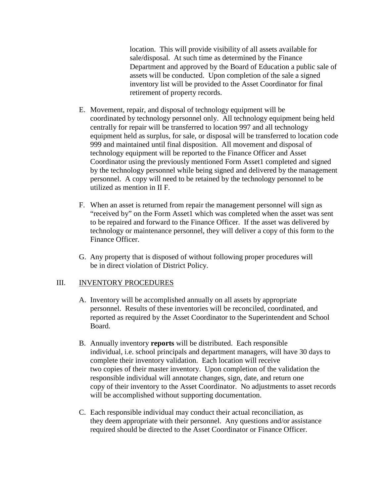location. This will provide visibility of all assets available for sale/disposal. At such time as determined by the Finance Department and approved by the Board of Education a public sale of assets will be conducted. Upon completion of the sale a signed inventory list will be provided to the Asset Coordinator for final retirement of property records.

- E. Movement, repair, and disposal of technology equipment will be coordinated by technology personnel only. All technology equipment being held centrally for repair will be transferred to location 997 and all technology equipment held as surplus, for sale, or disposal will be transferred to location code 999 and maintained until final disposition. All movement and disposal of technology equipment will be reported to the Finance Officer and Asset Coordinator using the previously mentioned Form Asset1 completed and signed by the technology personnel while being signed and delivered by the management personnel. A copy will need to be retained by the technology personnel to be utilized as mention in II F.
- F. When an asset is returned from repair the management personnel will sign as "received by" on the Form Asset1 which was completed when the asset was sent to be repaired and forward to the Finance Officer. If the asset was delivered by technology or maintenance personnel, they will deliver a copy of this form to the Finance Officer.
- G. Any property that is disposed of without following proper procedures will be in direct violation of District Policy.

### III. INVENTORY PROCEDURES

- A. Inventory will be accomplished annually on all assets by appropriate personnel. Results of these inventories will be reconciled, coordinated, and reported as required by the Asset Coordinator to the Superintendent and School Board.
- B. Annually inventory **reports** will be distributed. Each responsible individual, i.e. school principals and department managers, will have 30 days to complete their inventory validation. Each location will receive two copies of their master inventory. Upon completion of the validation the responsible individual will annotate changes, sign, date, and return one copy of their inventory to the Asset Coordinator. No adjustments to asset records will be accomplished without supporting documentation.
- C. Each responsible individual may conduct their actual reconciliation, as they deem appropriate with their personnel. Any questions and/or assistance required should be directed to the Asset Coordinator or Finance Officer.